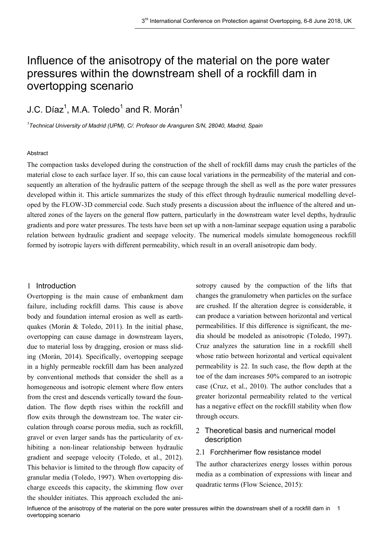# Influence of the anisotropy of the material on the pore water pressures within the downstream shell of a rockfill dam in overtopping scenario

# J.C. Díaz $^1$ , M.A. Toledo $^1$  and R. Morán $^1$

*1 Technical University of Madrid (UPM), C/. Profesor de Aranguren S/N, 28040, Madrid, Spain*

#### Abstract

The compaction tasks developed during the construction of the shell of rockfill dams may crush the particles of the material close to each surface layer. If so, this can cause local variations in the permeability of the material and consequently an alteration of the hydraulic pattern of the seepage through the shell as well as the pore water pressures developed within it. This article summarizes the study of this effect through hydraulic numerical modelling developed by the FLOW-3D commercial code. Such study presents a discussion about the influence of the altered and unaltered zones of the layers on the general flow pattern, particularly in the downstream water level depths, hydraulic gradients and pore water pressures. The tests have been set up with a non-laminar seepage equation using a parabolic relation between hydraulic gradient and seepage velocity. The numerical models simulate homogeneous rockfill formed by isotropic layers with different permeability, which result in an overall anisotropic dam body.

### 1 Introduction

Overtopping is the main cause of embankment dam failure, including rockfill dams. This cause is above body and foundation internal erosion as well as earthquakes (Morán & Toledo, 2011). In the initial phase, overtopping can cause damage in downstream layers, due to material loss by dragging, erosion or mass sliding (Morán, 2014). Specifically, overtopping seepage in a highly permeable rockfill dam has been analyzed by conventional methods that consider the shell as a homogeneous and isotropic element where flow enters from the crest and descends vertically toward the foundation. The flow depth rises within the rockfill and flow exits through the downstream toe. The water circulation through coarse porous media, such as rockfill, gravel or even larger sands has the particularity of exhibiting a non-linear relationship between hydraulic gradient and seepage velocity (Toledo, et al., 2012). This behavior is limited to the through flow capacity of granular media (Toledo, 1997). When overtopping discharge exceeds this capacity, the skimming flow over the shoulder initiates. This approach excluded the anisotropy caused by the compaction of the lifts that changes the granulometry when particles on the surface are crushed. If the alteration degree is considerable, it can produce a variation between horizontal and vertical permeabilities. If this difference is significant, the media should be modeled as anisotropic (Toledo, 1997). Cruz analyzes the saturation line in a rockfill shell whose ratio between horizontal and vertical equivalent permeability is 22. In such case, the flow depth at the toe of the dam increases 50% compared to an isotropic case (Cruz, et al., 2010). The author concludes that a greater horizontal permeability related to the vertical has a negative effect on the rockfill stability when flow through occurs.

# 2 Theoretical basis and numerical model description

# 2.1 Forchherimer flow resistance model

The author characterizes energy losses within porous media as a combination of expressions with linear and quadratic terms (Flow Science, 2015):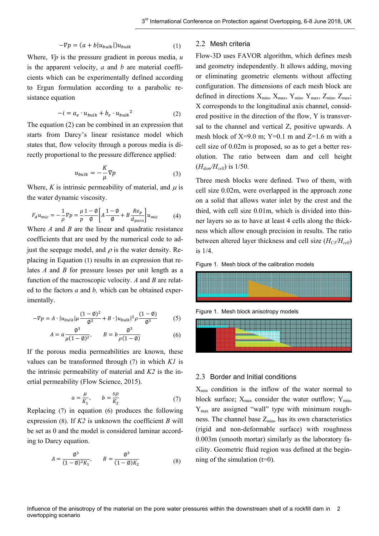$$
-\nabla p = (a + b|u_{bulk}|)u_{bulk} \tag{1}
$$

Where, ∇*p* is the pressure gradient in porous media, *u* is the apparent velocity, *a* and *b* are material coefficients which can be experimentally defined according to Ergun formulation according to a parabolic resistance equation

$$
-i = a_e \cdot u_{bulk} + b_e \cdot u_{bulk}^2 \tag{2}
$$

The equation (2) can be combined in an expression that starts from Darcy's linear resistance model which states that, flow velocity through a porous media is directly proportional to the pressure difference applied:

$$
u_{bulk} = -\frac{K}{\mu} \nabla p \tag{3}
$$

Where,  $K$  is intrinsic permeability of material, and  $\mu$  is the water dynamic viscosity.

$$
F_a u_{mic} = -\frac{1}{\rho} \nabla p = \frac{\mu}{p} \frac{1 - \phi}{\phi} \left[ A \frac{1 - \phi}{\phi} + B \frac{Re_p}{d_{poro}} \right] u_{mic} \tag{4}
$$

Where *A* and *B* are the linear and quadratic resistance coefficients that are used by the numerical code to adjust the seepage model, and  $\rho$  is the water density. Replacing in Equation [\(1\)](#page-1-0) results in an expression that relates *A* and *B* for pressure losses per unit length as a function of the macroscopic velocity. *A* and *B* are related to the factors *a* and *b,* which can be obtained experimentally.

$$
-\nabla p = A \cdot |u_{bulk}|\mu \frac{(1-\emptyset)^2}{\emptyset^3} + B \cdot |u_{bulk}|^2 \rho \frac{(1-\emptyset)}{\emptyset^3}
$$
 (5)

$$
A = a \frac{\phi^3}{\mu (1 - \phi)^2}, \qquad B = b \frac{\phi^3}{\rho (1 - \phi)}
$$
(6)

If the porous media permeabilities are known, these values can be transformed through [\(7\)](#page-1-1) in which *K1* is the intrinsic permeability of material and *K2* is the inertial permeability (Flow Science, 2015).

$$
a = \frac{\mu}{K_1}, \qquad b = \frac{s\rho}{K_2} \tag{7}
$$

Replacing [\(7\)](#page-1-1) in equation [\(6\)](#page-1-2) produces the following expression [\(8\).](#page-1-3) If *K2* is unknown the coefficient *B* will be set as 0 and the model is considered laminar according to Darcy equation.

$$
A = \frac{\phi^3}{(1 - \phi)^2 K_1}, \qquad B = \frac{\phi^3}{(1 - \phi) K_2}
$$
(8)

### <span id="page-1-0"></span>2.2 Mesh criteria

Flow-3D uses FAVOR algorithm, which defines mesh and geometry independently. It allows adding, moving or eliminating geometric elements without affecting configuration. The dimensions of each mesh block are defined in directions  $X_{min}$ ,  $X_{max}$ ,  $Y_{min}$ ,  $Y_{max}$ ,  $Z_{min}$ ,  $Z_{max}$ ; X corresponds to the longitudinal axis channel, considered positive in the direction of the flow, Y is transversal to the channel and vertical Z, positive upwards. A mesh block of  $X=9.0$  m;  $Y=0.1$  m and  $Z=1.6$  m with a cell size of 0.02m is proposed, so as to get a better resolution. The ratio between dam and cell height  $(H_{\text{dam}}/H_{\text{cell}})$  is 1/50.

Three mesh blocks were defined. Two of them, with cell size 0.02m, were overlapped in the approach zone on a solid that allows water inlet by the crest and the third, with cell size 0.01m, which is divided into thinner layers so as to have at least 4 cells along the thickness which allow enough precision in results. The ratio between altered layer thickness and cell size ( $H_{C3}/H_{cell}$ ) is 1/4.





Figure 1. Mesh block anisotropy models

<span id="page-1-2"></span>

#### 2.3 Border and Initial conditions

<span id="page-1-3"></span><span id="page-1-1"></span> $X_{\text{min}}$  condition is the inflow of the water normal to block surface;  $X_{\text{max}}$  consider the water outflow;  $Y_{\text{min}}$ ,  $Y_{\text{max}}$  are assigned "wall" type with minimum roughness. The channel base  $Z_{\text{min}}$ , has its own characteristics (rigid and non-deformable surface) with roughness 0.003m (smooth mortar) similarly as the laboratory facility. Geometric fluid region was defined at the beginning of the simulation  $(t=0)$ .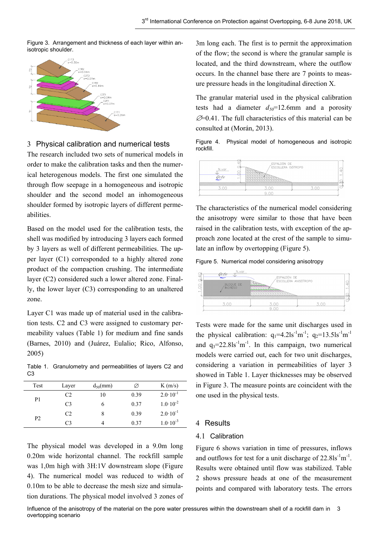Figure 3. Arrangement and thickness of each layer within anisotropic shoulder.



3 Physical calibration and numerical tests

The research included two sets of numerical models in order to make the calibration tasks and then the numerical heterogenous models. The first one simulated the through flow seepage in a homogeneous and isotropic shoulder and the second model an inhomogeneous shoulder formed by isotropic layers of different permeabilities.

Based on the model used for the calibration tests, the shell was modified by introducing 3 layers each formed by 3 layers as well of different permeabilities. The upper layer (C1) corresponded to a highly altered zone product of the compaction crushing. The intermediate layer (C2) considered such a lower altered zone. Finally, the lower layer (C3) corresponding to an unaltered zone.

Layer C1 was made up of material used in the calibration tests. C2 and C3 were assigned to customary permeability values (Table 1) for medium and fine sands (Barnes, 2010) and (Juárez, Eulalio; Rico, Alfonso, 2005)

Table 1. Granulometry and permeabilities of layers C2 and C3

| Test           | Layer          | $d_{50}(mm)$ | Ø    | K(m/s)              |
|----------------|----------------|--------------|------|---------------------|
| P <sub>1</sub> | C <sub>2</sub> | 10           | 0.39 | $2.0 \cdot 10^{-1}$ |
|                | C <sub>3</sub> | O            | 0.37 | $1.0 \cdot 10^{-2}$ |
| P <sub>2</sub> | C <sub>2</sub> | 8            | 0.39 | $2.0 \cdot 10^{-1}$ |
|                | C3             |              | 0.37 | $1.0 \cdot 10^{-3}$ |

The physical model was developed in a 9.0m long 0.20m wide horizontal channel. The rockfill sample was 1,0m high with 3H:1V downstream slope (Figure 4). The numerical model was reduced to width of 0.10m to be able to decrease the mesh size and simulation durations. The physical model involved 3 zones of

3m long each. The first is to permit the approximation of the flow; the second is where the granular sample is located, and the third downstream, where the outflow occurs. In the channel base there are 7 points to measure pressure heads in the longitudinal direction X.

The granular material used in the physical calibration tests had a diameter  $d_{50}$ =12.6mm and a porosity  $\mathcal{Q}=0.41$ . The full characteristics of this material can be consulted at (Morán, 2013).

Figure 4. Physical model of homogeneous and isotropic rockfill.



The characteristics of the numerical model considering the anisotropy were similar to those that have been raised in the calibration tests, with exception of the approach zone located at the crest of the sample to simulate an inflow by overtopping (Figure 5).

Figure 5. Numerical model considering anisotropy



Tests were made for the same unit discharges used in the physical calibration:  $q_1 = 4.21s^{-1}m^{-1}$ ;  $q_2 = 13.51s^{-1}m^{-1}$ and  $q_3$ =22.8ls<sup>-1</sup>m<sup>-1</sup>. In this campaign, two numerical models were carried out, each for two unit discharges, considering a variation in permeabilities of layer 3 showed in Table 1. Layer thicknesses may be observed in Figure 3. The measure points are coincident with the one used in the physical tests.

# 4 Results

# 4.1 Calibration

Figure 6 shows variation in time of pressures, inflows and outflows for test for a unit discharge of  $22.8$ ls<sup>-1</sup>m<sup>-1</sup>. Results were obtained until flow was stabilized. Table 2 shows pressure heads at one of the measurement points and compared with laboratory tests. The errors

Influence of the anisotropy of the material on the pore water pressures within the downstream shell of a rockfill dam in 3 overtopping scenario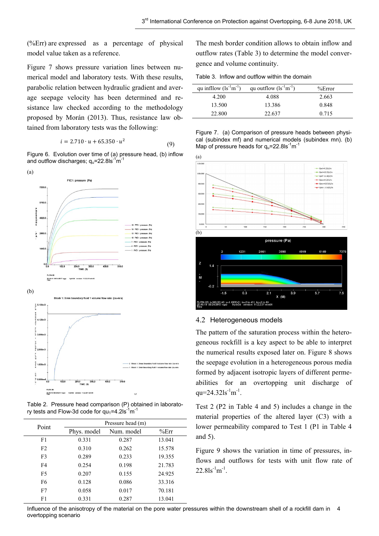(%Err) are expressed as a percentage of physical model value taken as a reference.

Figure 7 shows pressure variation lines between numerical model and laboratory tests. With these results, parabolic relation between hydraulic gradient and average seepage velocity has been determined and resistance law checked according to the methodology proposed by Morán (2013). Thus, resistance law obtained from laboratory tests was the following:

$$
i = 2.710 \cdot u + 65.350 \cdot u^2 \tag{9}
$$

Figure 6. Evolution over time of (a) pressure head, (b) inflow and outflow discharges;  $q<sub>u</sub>=22.8$ ls $<sup>-1</sup>m<sup>-1</sup>$ </sup>



Table 2. Pressure head comparison (P) obtained in laboratory tests and Flow-3d code for  $qu_1=4.2$ ls<sup>-1</sup>m<sup>-1</sup>

| Point          | Pressure head (m) |            |        |  |  |
|----------------|-------------------|------------|--------|--|--|
|                | Phys. model       | Num. model | %Err   |  |  |
| F1             | 0.331             | 0.287      | 13.041 |  |  |
| F <sub>2</sub> | 0.310             | 0.262      | 15.578 |  |  |
| F <sub>3</sub> | 0.289             | 0.233      | 19.355 |  |  |
| F <sub>4</sub> | 0.254             | 0.198      | 21.783 |  |  |
| F <sub>5</sub> | 0.207             | 0.155      | 24.925 |  |  |
| F <sub>6</sub> | 0.128             | 0.086      | 33.316 |  |  |
| F7             | 0.058             | 0.017      | 70.181 |  |  |
| F1             | 0.331             | 0.287      | 13.041 |  |  |

The mesh border condition allows to obtain inflow and outflow rates (Table 3) to determine the model convergence and volume continuity.

Table 3. Inflow and outflow within the domain

| qu infllow $(ls^{-1}m^{-1})$ | qu outflow $(ls^{-1}m^{-1})$ | %Error |
|------------------------------|------------------------------|--------|
| 4.200                        | 4.088                        | 2.663  |
| 13.500                       | 13.386                       | 0.848  |
| 22.800                       | 22.637                       | 0.715  |

Figure 7. (a) Comparison of pressure heads between physical (subindex mf) and numerical models (subindex mn). (b) Map of pressure heads for  $q_u$ =22.8ls<sup>-1</sup>m<sup>-1</sup>



#### 4.2 Heterogeneous models

The pattern of the saturation process within the heterogeneous rockfill is a key aspect to be able to interpret the numerical results exposed later on. Figure 8 shows the seepage evolution in a heterogeneous porous media formed by adjacent isotropic layers of different permeabilities for an overtopping unit discharge of qu=24.32ls $^{-1}$ m<sup>-1</sup>.

Test 2 (P2 in Table 4 and 5) includes a change in the material properties of the altered layer (C3) with a lower permeability compared to Test 1 (P1 in Table 4 and 5).

Figure 9 shows the variation in time of pressures, inflows and outflows for tests with unit flow rate of  $22.8$ ls<sup>-1</sup>m<sup>-1</sup>.

Influence of the anisotropy of the material on the pore water pressures within the downstream shell of a rockfill dam in 4 overtopping scenario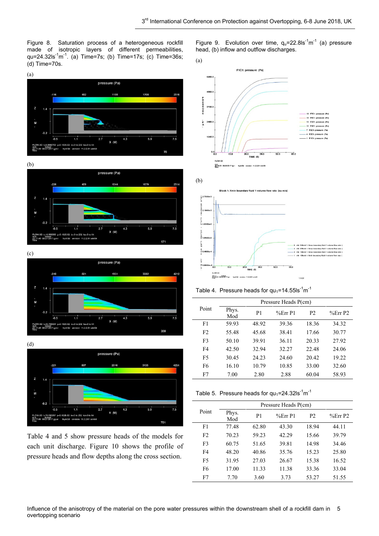Figure 8. Saturation process of a heterogeneous rockfill made of isotropic layers of different permeabilities, qu=24.32ls<sup>-1</sup>m<sup>-1</sup>. (a) Time=7s; (b) Time=17s; (c) Time=36s; (d) Time=70s.

(a)









Table 4 and 5 show pressure heads of the models for each unit discharge. Figure 10 shows the profile of pressure heads and flow depths along the cross section.

Figure 9. Evolution over time,  $q_u = 22.81s^{-1}m^{-1}$  (a) pressure head, (b) inflow and outflow discharges.





Table 4. Pressure heads for  $qu_1 = 14.55$ ls<sup>-1</sup>m<sup>-1</sup>

|                | Pressure Heads P(cm) |                |        |                |         |
|----------------|----------------------|----------------|--------|----------------|---------|
| Point          | Phys.<br>Mod         | P <sub>1</sub> | %ErrP1 | P <sub>2</sub> | %Err P2 |
| F1             | 59.93                | 48.92          | 39.36  | 18.36          | 34.32   |
| F <sub>2</sub> | 55.48                | 45.68          | 38.41  | 17.66          | 30.77   |
| F <sub>3</sub> | 50.10                | 39.91          | 36.11  | 20.33          | 27.92   |
| F4             | 42.50                | 32.94          | 32.27  | 22.48          | 24.06   |
| F <sub>5</sub> | 30.45                | 24.23          | 24.60  | 20.42          | 19.22   |
| F <sub>6</sub> | 16.10                | 10.79          | 10.85  | 33.00          | 32.60   |
| F7             | 7.00                 | 2.80           | 2.88   | 60.04          | 58.93   |

Table 5. Pressure heads for  $qu_1=24.32$ ls<sup>-1</sup>m<sup>-1</sup>

|                | Pressure Heads P(cm) |                |        |                |         |
|----------------|----------------------|----------------|--------|----------------|---------|
| Point          | Phys.<br>Mod         | P <sub>1</sub> | %ErrP1 | P <sub>2</sub> | %Err P2 |
| F1             | 77.48                | 62.80          | 43.30  | 18.94          | 44.11   |
| F <sub>2</sub> | 70.23                | 59.23          | 42.29  | 15.66          | 39.79   |
| F <sub>3</sub> | 60.75                | 51.65          | 39.81  | 14.98          | 34.46   |
| F4             | 48.20                | 40.86          | 35.76  | 15.23          | 25.80   |
| F <sub>5</sub> | 31.95                | 27.03          | 26.67  | 15.38          | 16.52   |
| F <sub>6</sub> | 17.00                | 11.33          | 11.38  | 33.36          | 33.04   |
| F7             | 7.70                 | 3.60           | 3.73   | 53.27          | 51.55   |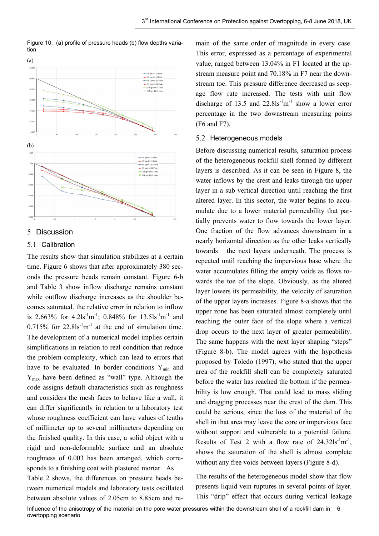

Figure 10. (a) profile of pressure heads (b) flow depths variation

### 5 Discussion

#### 5.1 Calibration

The results show that simulation stabilizes at a certain time. Figure 6 shows that after approximately 380 seconds the pressure heads remain constant. Figure 6-b and Table 3 show inflow discharge remains constant while outflow discharge increases as the shoulder becomes saturated. the relative error in relation to inflow is 2.663% for  $4.2$ ls<sup>-1</sup>m<sup>-1</sup>; 0.848% for 13.5ls<sup>-1</sup>m<sup>-1</sup> and  $0.715\%$  for  $22.81s<sup>-1</sup>m<sup>-1</sup>$  at the end of simulation time. The development of a numerical model implies certain simplifications in relation to real condition that reduce the problem complexity, which can lead to errors that have to be evaluated. In border conditions  $Y_{min}$  and Ymax have been defined as "wall" type. Although the code assigns default characteristics such as roughness and considers the mesh faces to behave like a wall, it can differ significantly in relation to a laboratory test whose roughness coefficient can have values of tenths of millimeter up to several millimeters depending on the finished quality. In this case, a solid object with a rigid and non-deformable surface and an absolute roughness of 0.003 has been arranged, which corresponds to a finishing coat with plastered mortar. As Table 2 shows, the differences on pressure heads between numerical models and laboratory tests oscillated

between absolute values of 2.05cm to 8.85cm and re-

main of the same order of magnitude in every case. This error, expressed as a percentage of experimental value, ranged between 13.04% in F1 located at the upstream measure point and 70.18% in F7 near the downstream toe. This pressure difference decreased as seepage flow rate increased. The tests with unit flow discharge of 13.5 and  $22.8$ ls<sup>-1</sup>m<sup>-1</sup> show a lower error percentage in the two downstream measuring points (F6 and F7).

### 5.2 Heterogeneous models

Before discussing numerical results, saturation process of the heterogeneous rockfill shell formed by different layers is described. As it can be seen in Figure 8, the water inflows by the crest and leaks through the upper layer in a sub vertical direction until reaching the first altered layer. In this sector, the water begins to accumulate due to a lower material permeability that partially prevents water to flow towards the lower layer. One fraction of the flow advances downstream in a nearly horizontal direction as the other leaks vertically towards the next layers underneath. The process is repeated until reaching the impervious base where the water accumulates filling the empty voids as flows towards the toe of the slope. Obviously, as the altered layer lowers its permeability, the velocity of saturation of the upper layers increases. Figure 8-a shows that the upper zone has been saturated almost completely until reaching the outer face of the slope where a vertical drop occurs to the next layer of greater permeability. The same happens with the next layer shaping "steps" (Figure 8-b). The model agrees with the hypothesis proposed by Toledo (1997), who stated that the upper area of the rockfill shell can be completely saturated before the water has reached the bottom if the permeability is low enough. That could lead to mass sliding and dragging processes near the crest of the dam. This could be serious, since the loss of the material of the shell in that area may leave the core or impervious face without support and vulnerable to a potential failure. Results of Test 2 with a flow rate of  $24.32 \text{ls}^{-1} \text{m}^{-1}$ , shows the saturation of the shell is almost complete without any free voids between layers (Figure 8-d).

The results of the heterogeneous model show that flow presents liquid vein ruptures in several points of layer. This "drip" effect that occurs during vertical leakage

Influence of the anisotropy of the material on the pore water pressures within the downstream shell of a rockfill dam in 6 overtopping scenario